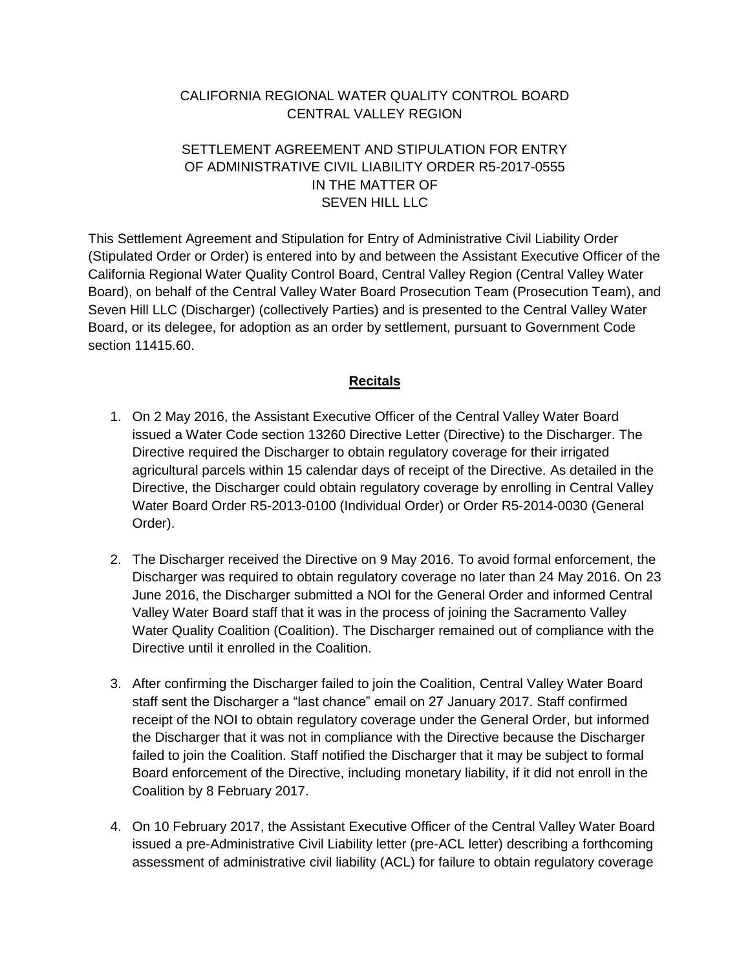### CALIFORNIA REGIONAL WATER QUALITY CONTROL BOARD CENTRAL VALLEY REGION

### SETTLEMENT AGREEMENT AND STIPULATION FOR ENTRY OF ADMINISTRATIVE CIVIL LIABILITY ORDER R5-2017-0555 IN THE MATTER OF SEVEN HILL LLC

This Settlement Agreement and Stipulation for Entry of Administrative Civil Liability Order (Stipulated Order or Order) is entered into by and between the Assistant Executive Officer of the California Regional Water Quality Control Board, Central Valley Region (Central Valley Water Board), on behalf of the Central Valley Water Board Prosecution Team (Prosecution Team), and Seven Hill LLC (Discharger) (collectively Parties) and is presented to the Central Valley Water Board, or its delegee, for adoption as an order by settlement, pursuant to Government Code section 11415.60.

### **Recitals**

- 1. On 2 May 2016, the Assistant Executive Officer of the Central Valley Water Board issued a Water Code section 13260 Directive Letter (Directive) to the Discharger. The Directive required the Discharger to obtain regulatory coverage for their irrigated agricultural parcels within 15 calendar days of receipt of the Directive. As detailed in the Directive, the Discharger could obtain regulatory coverage by enrolling in Central Valley Water Board Order R5-2013-0100 (Individual Order) or Order R5-2014-0030 (General Order).
- 2. The Discharger received the Directive on 9 May 2016. To avoid formal enforcement, the Discharger was required to obtain regulatory coverage no later than 24 May 2016. On 23 June 2016, the Discharger submitted a NOI for the General Order and informed Central Valley Water Board staff that it was in the process of joining the Sacramento Valley Water Quality Coalition (Coalition). The Discharger remained out of compliance with the Directive until it enrolled in the Coalition.
- 3. After confirming the Discharger failed to join the Coalition, Central Valley Water Board staff sent the Discharger a "last chance" email on 27 January 2017. Staff confirmed receipt of the NOI to obtain regulatory coverage under the General Order, but informed the Discharger that it was not in compliance with the Directive because the Discharger failed to join the Coalition. Staff notified the Discharger that it may be subject to formal Board enforcement of the Directive, including monetary liability, if it did not enroll in the Coalition by 8 February 2017.
- 4. On 10 February 2017, the Assistant Executive Officer of the Central Valley Water Board issued a pre-Administrative Civil Liability letter (pre-ACL letter) describing a forthcoming assessment of administrative civil liability (ACL) for failure to obtain regulatory coverage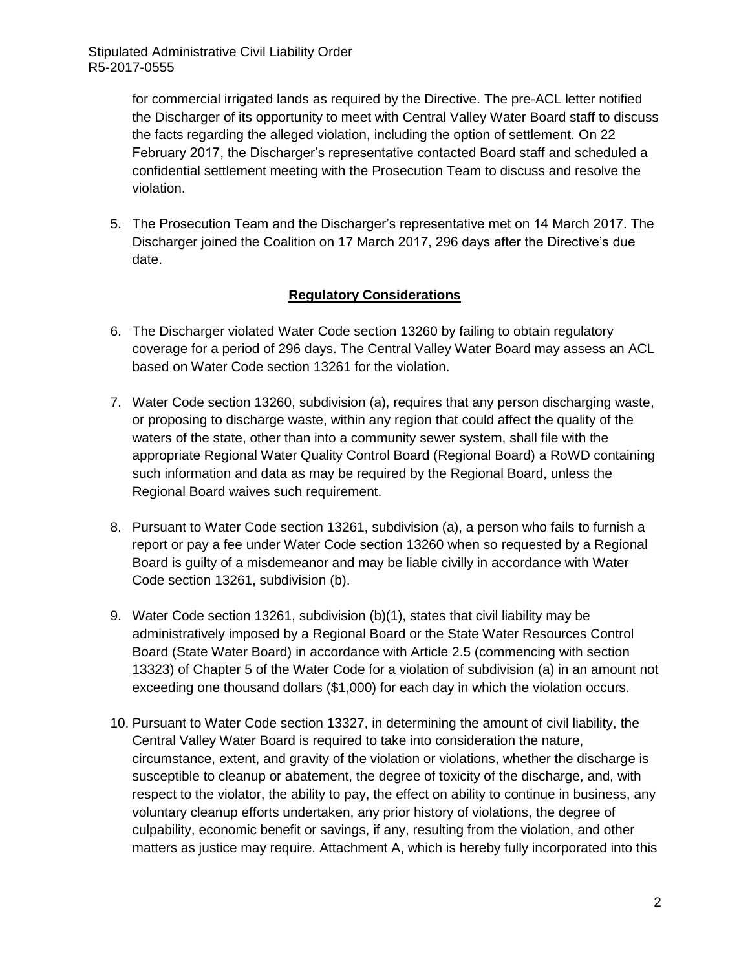> for commercial irrigated lands as required by the Directive. The pre-ACL letter notified the Discharger of its opportunity to meet with Central Valley Water Board staff to discuss the facts regarding the alleged violation, including the option of settlement. On 22 February 2017, the Discharger's representative contacted Board staff and scheduled a confidential settlement meeting with the Prosecution Team to discuss and resolve the violation.

5. The Prosecution Team and the Discharger's representative met on 14 March 2017. The Discharger joined the Coalition on 17 March 2017, 296 days after the Directive's due date.

#### **Regulatory Considerations**

- 6. The Discharger violated Water Code section 13260 by failing to obtain regulatory coverage for a period of 296 days. The Central Valley Water Board may assess an ACL based on Water Code section 13261 for the violation.
- 7. Water Code section 13260, subdivision (a), requires that any person discharging waste, or proposing to discharge waste, within any region that could affect the quality of the waters of the state, other than into a community sewer system, shall file with the appropriate Regional Water Quality Control Board (Regional Board) a RoWD containing such information and data as may be required by the Regional Board, unless the Regional Board waives such requirement.
- 8. Pursuant to Water Code section 13261, subdivision (a), a person who fails to furnish a report or pay a fee under Water Code section 13260 when so requested by a Regional Board is guilty of a misdemeanor and may be liable civilly in accordance with Water Code section 13261, subdivision (b).
- 9. Water Code section 13261, subdivision (b)(1), states that civil liability may be administratively imposed by a Regional Board or the State Water Resources Control Board (State Water Board) in accordance with Article 2.5 (commencing with section 13323) of Chapter 5 of the Water Code for a violation of subdivision (a) in an amount not exceeding one thousand dollars (\$1,000) for each day in which the violation occurs.
- 10. Pursuant to Water Code section 13327, in determining the amount of civil liability, the Central Valley Water Board is required to take into consideration the nature, circumstance, extent, and gravity of the violation or violations, whether the discharge is susceptible to cleanup or abatement, the degree of toxicity of the discharge, and, with respect to the violator, the ability to pay, the effect on ability to continue in business, any voluntary cleanup efforts undertaken, any prior history of violations, the degree of culpability, economic benefit or savings, if any, resulting from the violation, and other matters as justice may require. Attachment A, which is hereby fully incorporated into this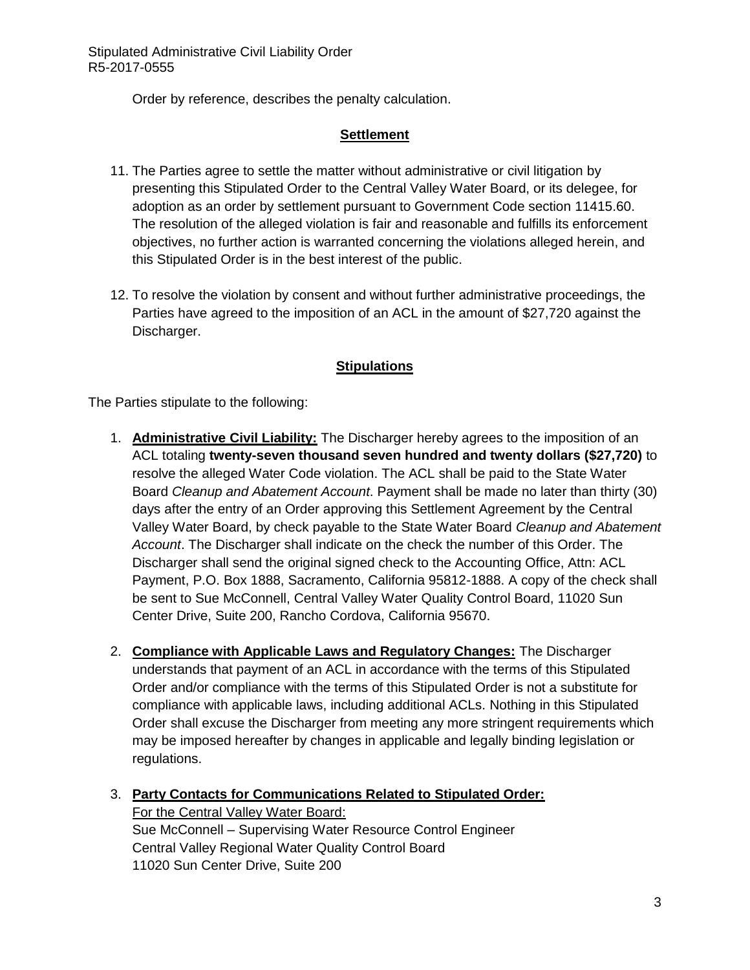Order by reference, describes the penalty calculation.

#### **Settlement**

- 11. The Parties agree to settle the matter without administrative or civil litigation by presenting this Stipulated Order to the Central Valley Water Board, or its delegee, for adoption as an order by settlement pursuant to Government Code section 11415.60. The resolution of the alleged violation is fair and reasonable and fulfills its enforcement objectives, no further action is warranted concerning the violations alleged herein, and this Stipulated Order is in the best interest of the public.
- 12. To resolve the violation by consent and without further administrative proceedings, the Parties have agreed to the imposition of an ACL in the amount of \$27,720 against the Discharger.

#### **Stipulations**

The Parties stipulate to the following:

- 1. **Administrative Civil Liability:** The Discharger hereby agrees to the imposition of an ACL totaling **twenty-seven thousand seven hundred and twenty dollars (\$27,720)** to resolve the alleged Water Code violation. The ACL shall be paid to the State Water Board *Cleanup and Abatement Account*. Payment shall be made no later than thirty (30) days after the entry of an Order approving this Settlement Agreement by the Central Valley Water Board, by check payable to the State Water Board *Cleanup and Abatement Account*. The Discharger shall indicate on the check the number of this Order. The Discharger shall send the original signed check to the Accounting Office, Attn: ACL Payment, P.O. Box 1888, Sacramento, California 95812-1888. A copy of the check shall be sent to Sue McConnell, Central Valley Water Quality Control Board, 11020 Sun Center Drive, Suite 200, Rancho Cordova, California 95670.
- 2. **Compliance with Applicable Laws and Regulatory Changes:** The Discharger understands that payment of an ACL in accordance with the terms of this Stipulated Order and/or compliance with the terms of this Stipulated Order is not a substitute for compliance with applicable laws, including additional ACLs. Nothing in this Stipulated Order shall excuse the Discharger from meeting any more stringent requirements which may be imposed hereafter by changes in applicable and legally binding legislation or regulations.
- 3. **Party Contacts for Communications Related to Stipulated Order:** For the Central Valley Water Board: Sue McConnell – Supervising Water Resource Control Engineer Central Valley Regional Water Quality Control Board 11020 Sun Center Drive, Suite 200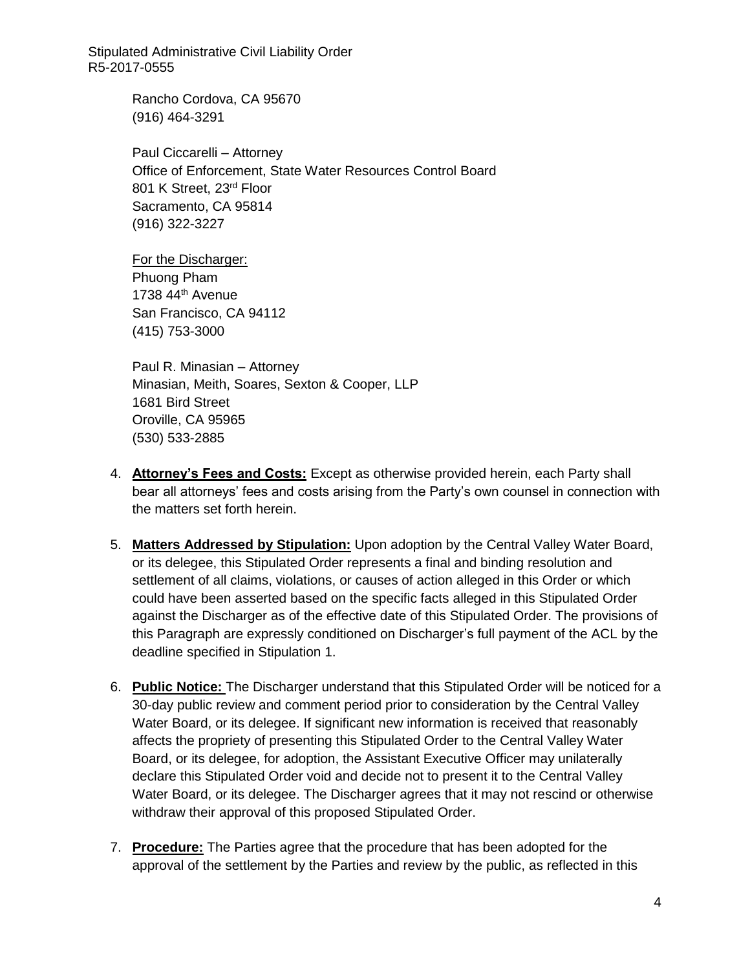> Rancho Cordova, CA 95670 (916) 464-3291

Paul Ciccarelli – Attorney Office of Enforcement, State Water Resources Control Board 801 K Street, 23rd Floor Sacramento, CA 95814 (916) 322-3227

For the Discharger: Phuong Pham 1738 44th Avenue San Francisco, CA 94112 (415) 753-3000

Paul R. Minasian – Attorney Minasian, Meith, Soares, Sexton & Cooper, LLP 1681 Bird Street Oroville, CA 95965 (530) 533-2885

- 4. **Attorney's Fees and Costs:** Except as otherwise provided herein, each Party shall bear all attorneys' fees and costs arising from the Party's own counsel in connection with the matters set forth herein.
- 5. **Matters Addressed by Stipulation:** Upon adoption by the Central Valley Water Board, or its delegee, this Stipulated Order represents a final and binding resolution and settlement of all claims, violations, or causes of action alleged in this Order or which could have been asserted based on the specific facts alleged in this Stipulated Order against the Discharger as of the effective date of this Stipulated Order. The provisions of this Paragraph are expressly conditioned on Discharger's full payment of the ACL by the deadline specified in Stipulation 1.
- 6. **Public Notice:** The Discharger understand that this Stipulated Order will be noticed for a 30-day public review and comment period prior to consideration by the Central Valley Water Board, or its delegee. If significant new information is received that reasonably affects the propriety of presenting this Stipulated Order to the Central Valley Water Board, or its delegee, for adoption, the Assistant Executive Officer may unilaterally declare this Stipulated Order void and decide not to present it to the Central Valley Water Board, or its delegee. The Discharger agrees that it may not rescind or otherwise withdraw their approval of this proposed Stipulated Order.
- 7. **Procedure:** The Parties agree that the procedure that has been adopted for the approval of the settlement by the Parties and review by the public, as reflected in this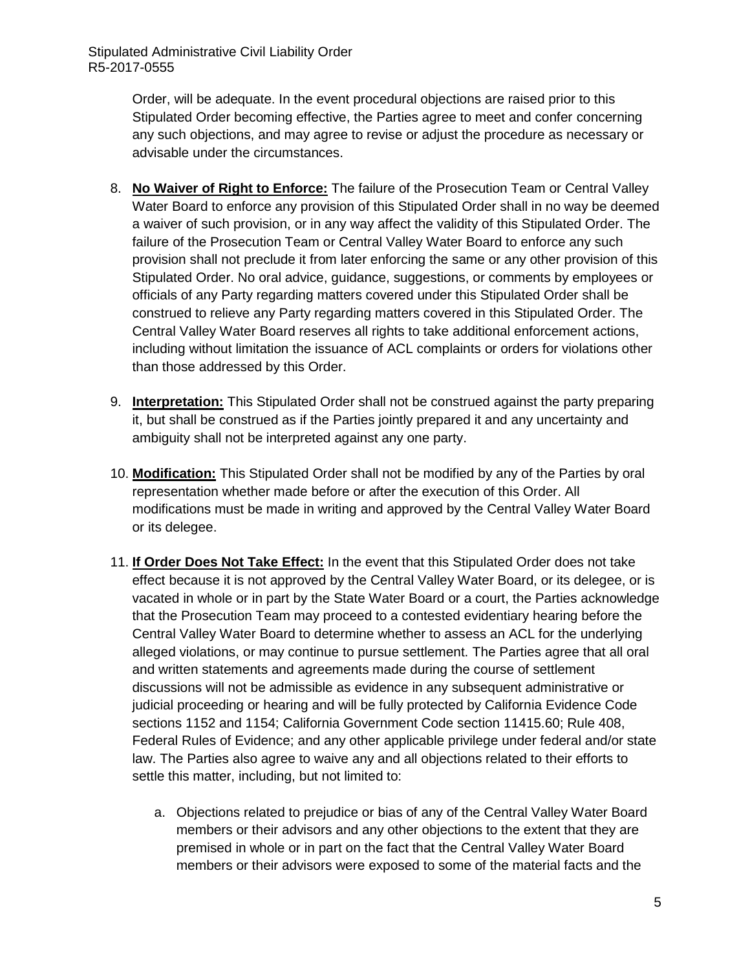> Order, will be adequate. In the event procedural objections are raised prior to this Stipulated Order becoming effective, the Parties agree to meet and confer concerning any such objections, and may agree to revise or adjust the procedure as necessary or advisable under the circumstances.

- 8. **No Waiver of Right to Enforce:** The failure of the Prosecution Team or Central Valley Water Board to enforce any provision of this Stipulated Order shall in no way be deemed a waiver of such provision, or in any way affect the validity of this Stipulated Order. The failure of the Prosecution Team or Central Valley Water Board to enforce any such provision shall not preclude it from later enforcing the same or any other provision of this Stipulated Order. No oral advice, guidance, suggestions, or comments by employees or officials of any Party regarding matters covered under this Stipulated Order shall be construed to relieve any Party regarding matters covered in this Stipulated Order. The Central Valley Water Board reserves all rights to take additional enforcement actions, including without limitation the issuance of ACL complaints or orders for violations other than those addressed by this Order.
- 9. **Interpretation:** This Stipulated Order shall not be construed against the party preparing it, but shall be construed as if the Parties jointly prepared it and any uncertainty and ambiguity shall not be interpreted against any one party.
- 10. **Modification:** This Stipulated Order shall not be modified by any of the Parties by oral representation whether made before or after the execution of this Order. All modifications must be made in writing and approved by the Central Valley Water Board or its delegee.
- 11. **If Order Does Not Take Effect:** In the event that this Stipulated Order does not take effect because it is not approved by the Central Valley Water Board, or its delegee, or is vacated in whole or in part by the State Water Board or a court, the Parties acknowledge that the Prosecution Team may proceed to a contested evidentiary hearing before the Central Valley Water Board to determine whether to assess an ACL for the underlying alleged violations, or may continue to pursue settlement. The Parties agree that all oral and written statements and agreements made during the course of settlement discussions will not be admissible as evidence in any subsequent administrative or judicial proceeding or hearing and will be fully protected by California Evidence Code sections 1152 and 1154; California Government Code section 11415.60; Rule 408, Federal Rules of Evidence; and any other applicable privilege under federal and/or state law. The Parties also agree to waive any and all objections related to their efforts to settle this matter, including, but not limited to:
	- a. Objections related to prejudice or bias of any of the Central Valley Water Board members or their advisors and any other objections to the extent that they are premised in whole or in part on the fact that the Central Valley Water Board members or their advisors were exposed to some of the material facts and the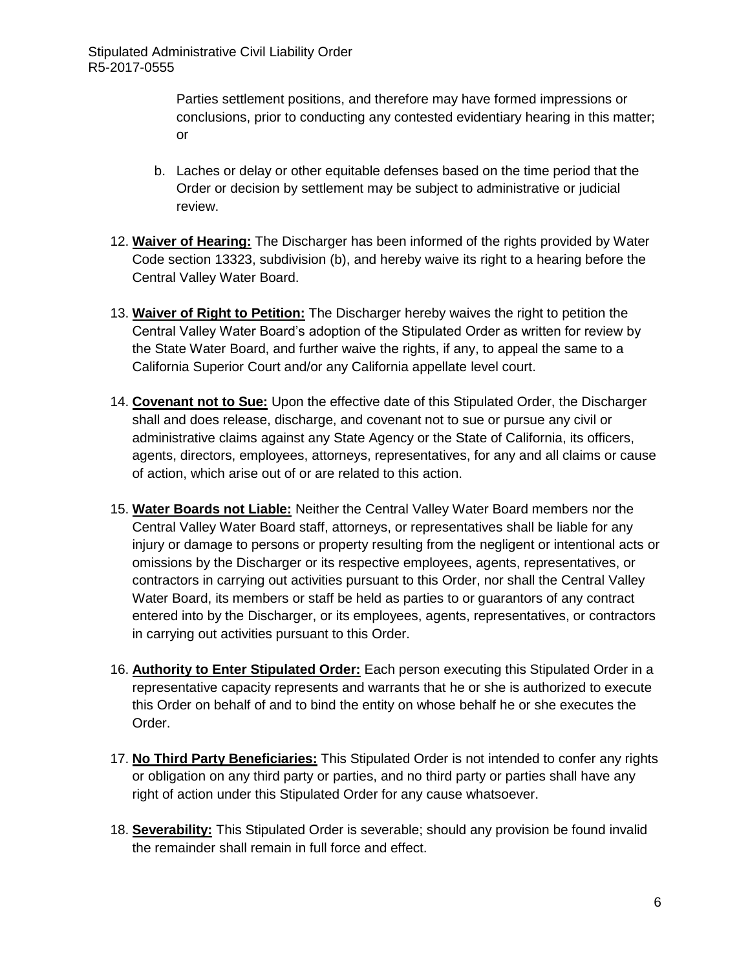Parties settlement positions, and therefore may have formed impressions or conclusions, prior to conducting any contested evidentiary hearing in this matter; or

- b. Laches or delay or other equitable defenses based on the time period that the Order or decision by settlement may be subject to administrative or judicial review.
- 12. **Waiver of Hearing:** The Discharger has been informed of the rights provided by Water Code section 13323, subdivision (b), and hereby waive its right to a hearing before the Central Valley Water Board.
- 13. **Waiver of Right to Petition:** The Discharger hereby waives the right to petition the Central Valley Water Board's adoption of the Stipulated Order as written for review by the State Water Board, and further waive the rights, if any, to appeal the same to a California Superior Court and/or any California appellate level court.
- 14. **Covenant not to Sue:** Upon the effective date of this Stipulated Order, the Discharger shall and does release, discharge, and covenant not to sue or pursue any civil or administrative claims against any State Agency or the State of California, its officers, agents, directors, employees, attorneys, representatives, for any and all claims or cause of action, which arise out of or are related to this action.
- 15. **Water Boards not Liable:** Neither the Central Valley Water Board members nor the Central Valley Water Board staff, attorneys, or representatives shall be liable for any injury or damage to persons or property resulting from the negligent or intentional acts or omissions by the Discharger or its respective employees, agents, representatives, or contractors in carrying out activities pursuant to this Order, nor shall the Central Valley Water Board, its members or staff be held as parties to or guarantors of any contract entered into by the Discharger, or its employees, agents, representatives, or contractors in carrying out activities pursuant to this Order.
- 16. **Authority to Enter Stipulated Order:** Each person executing this Stipulated Order in a representative capacity represents and warrants that he or she is authorized to execute this Order on behalf of and to bind the entity on whose behalf he or she executes the Order.
- 17. **No Third Party Beneficiaries:** This Stipulated Order is not intended to confer any rights or obligation on any third party or parties, and no third party or parties shall have any right of action under this Stipulated Order for any cause whatsoever.
- 18. **Severability:** This Stipulated Order is severable; should any provision be found invalid the remainder shall remain in full force and effect.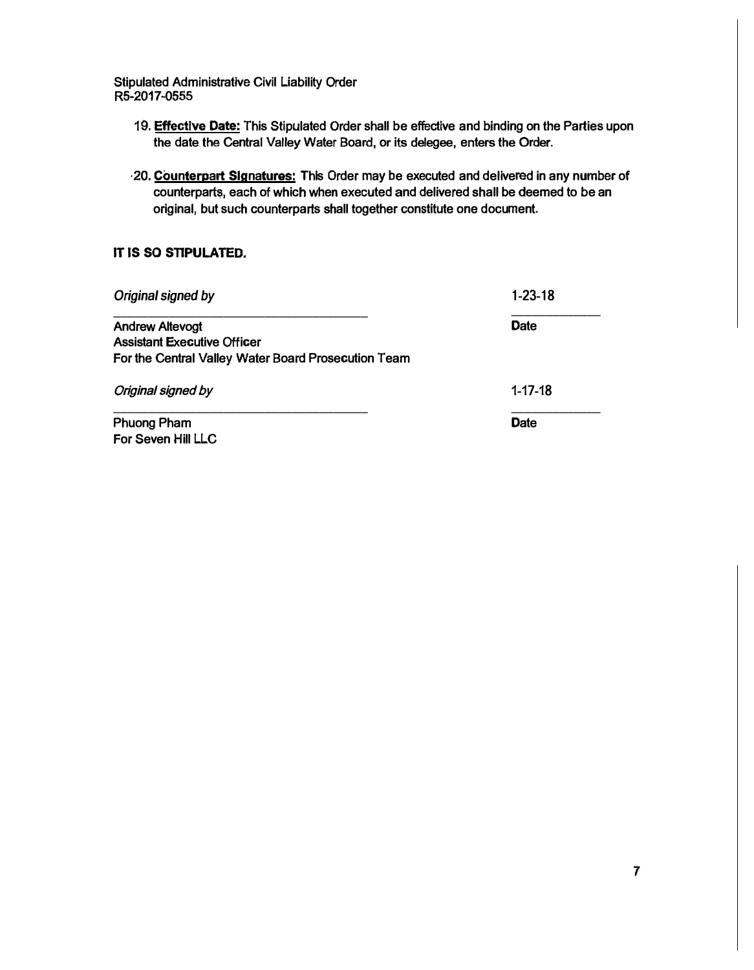- **19. Effective Date: This Stipulated Order shall be effective and binding on the Parties upon the date the Central Valley Water Board, or its delegee, enters the Order.**
- **·20. Counterpart Signatures: This Order may be executed and delivered in any number of counterpart�. each of which when executed and delivered shall be deemed to be an original, but such counterparts shall together constitute one document.**

#### **IT IS SO STIPULATED.**

| Original signed by                                  | 1-23-18       |  |  |  |
|-----------------------------------------------------|---------------|--|--|--|
| <b>Andrew Altevogt</b>                              | <b>Date</b>   |  |  |  |
| <b>Assistant Executive Officer</b>                  |               |  |  |  |
| For the Central Valley Water Board Prosecution Team |               |  |  |  |
| Original signed by                                  | $1 - 17 - 18$ |  |  |  |
| <b>Phuong Pham</b>                                  | <b>Date</b>   |  |  |  |
| For Seven Hill LLC                                  |               |  |  |  |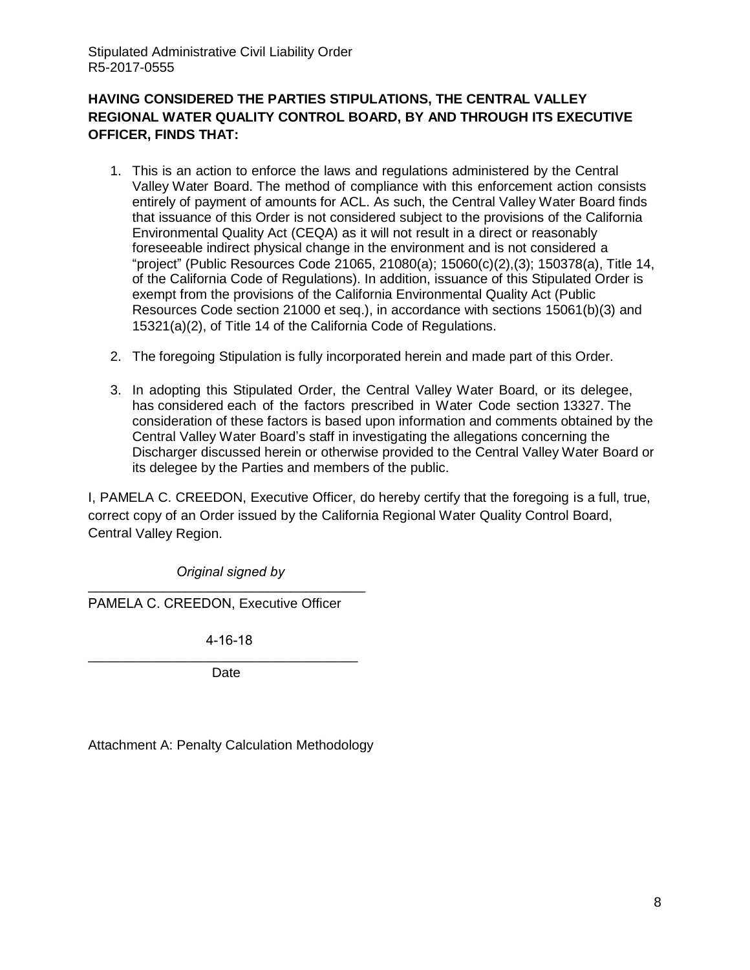### **HAVING CONSIDERED THE PARTIES STIPULATIONS, THE CENTRAL VALLEY REGIONAL WATER QUALITY CONTROL BOARD, BY AND THROUGH ITS EXECUTIVE OFFICER, FINDS THAT:**

- 1. This is an action to enforce the laws and regulations administered by the Central Valley Water Board. The method of compliance with this enforcement action consists entirely of payment of amounts for ACL. As such, the Central Valley Water Board finds that issuance of this Order is not considered subject to the provisions of the California Environmental Quality Act (CEQA) as it will not result in a direct or reasonably foreseeable indirect physical change in the environment and is not considered a "project" (Public Resources Code 21065, 21080(a); 15060(c)(2),(3); 150378(a), Title 14, of the California Code of Regulations). In addition, issuance of this Stipulated Order is exempt from the provisions of the California Environmental Quality Act (Public Resources Code section 21000 et seq.), in accordance with sections 15061(b)(3) and 15321(a)(2), of Title 14 of the California Code of Regulations.
- 2. The foregoing Stipulation is fully incorporated herein and made part of this Order.
- 3. In adopting this Stipulated Order, the Central Valley Water Board, or its delegee, has considered each of the factors prescribed in Water Code section 13327. The consideration of these factors is based upon information and comments obtained by the Central Valley Water Board's staff in investigating the allegations concerning the Discharger discussed herein or otherwise provided to the Central Valley Water Board or its delegee by the Parties and members of the public.

I, PAMELA C. CREEDON, Executive Officer, do hereby certify that the foregoing is a full, true, correct copy of an Order issued by the California Regional Water Quality Control Board, Central Valley Region.

 *Original signed by* \_\_\_\_\_\_\_\_\_\_\_\_\_\_\_\_\_\_\_\_\_\_\_\_\_\_\_\_\_\_\_\_\_\_\_\_\_

PAMELA C. CREEDON, Executive Officer

4-16-18

\_\_\_\_\_\_\_\_\_\_\_\_\_\_\_\_\_\_\_\_\_\_\_\_\_\_\_\_\_\_\_\_\_\_\_\_ Date

Attachment A: Penalty Calculation Methodology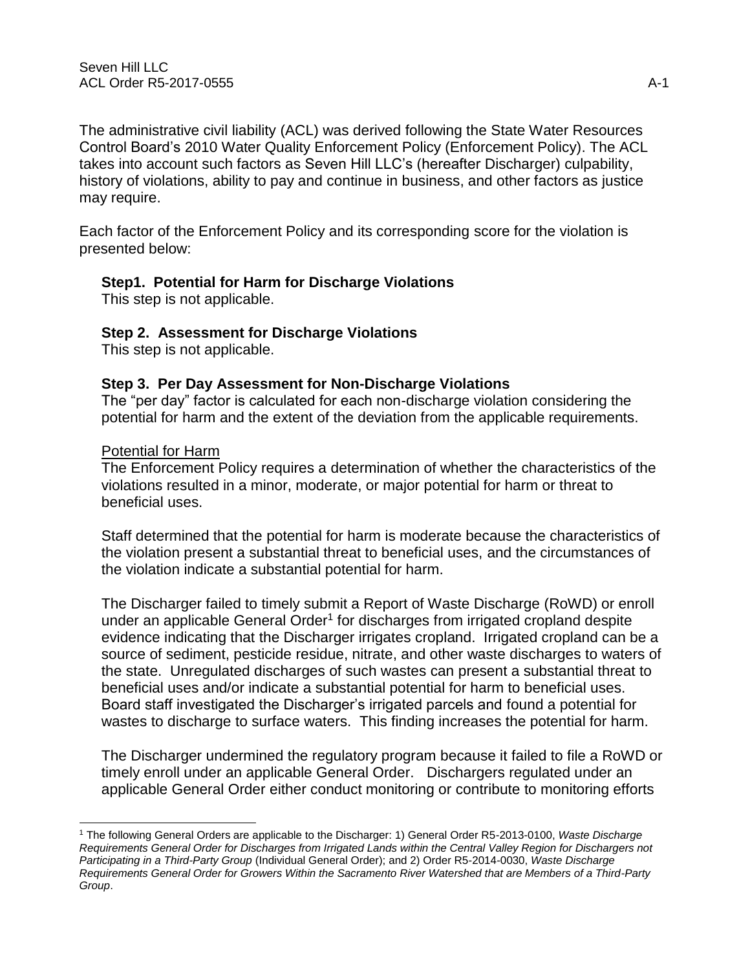The administrative civil liability (ACL) was derived following the State Water Resources Control Board's 2010 Water Quality Enforcement Policy (Enforcement Policy). The ACL takes into account such factors as Seven Hill LLC's (hereafter Discharger) culpability, history of violations, ability to pay and continue in business, and other factors as justice may require.

Each factor of the Enforcement Policy and its corresponding score for the violation is presented below:

### **Step1. Potential for Harm for Discharge Violations**

This step is not applicable.

### **Step 2. Assessment for Discharge Violations**

This step is not applicable.

### **Step 3. Per Day Assessment for Non-Discharge Violations**

The "per day" factor is calculated for each non-discharge violation considering the potential for harm and the extent of the deviation from the applicable requirements.

#### Potential for Harm

The Enforcement Policy requires a determination of whether the characteristics of the violations resulted in a minor, moderate, or major potential for harm or threat to beneficial uses.

Staff determined that the potential for harm is moderate because the characteristics of the violation present a substantial threat to beneficial uses, and the circumstances of the violation indicate a substantial potential for harm.

The Discharger failed to timely submit a Report of Waste Discharge (RoWD) or enroll under an applicable General Order<sup>1</sup> for discharges from irrigated cropland despite evidence indicating that the Discharger irrigates cropland. Irrigated cropland can be a source of sediment, pesticide residue, nitrate, and other waste discharges to waters of the state. Unregulated discharges of such wastes can present a substantial threat to beneficial uses and/or indicate a substantial potential for harm to beneficial uses. Board staff investigated the Discharger's irrigated parcels and found a potential for wastes to discharge to surface waters. This finding increases the potential for harm.

The Discharger undermined the regulatory program because it failed to file a RoWD or timely enroll under an applicable General Order. Dischargers regulated under an applicable General Order either conduct monitoring or contribute to monitoring efforts

<sup>1</sup> The following General Orders are applicable to the Discharger: 1) General Order R5-2013-0100, *Waste Discharge Requirements General Order for Discharges from Irrigated Lands within the Central Valley Region for Dischargers not Participating in a Third-Party Group* (Individual General Order); and 2) Order R5-2014-0030, *Waste Discharge Requirements General Order for Growers Within the Sacramento River Watershed that are Members of a Third-Party Group*.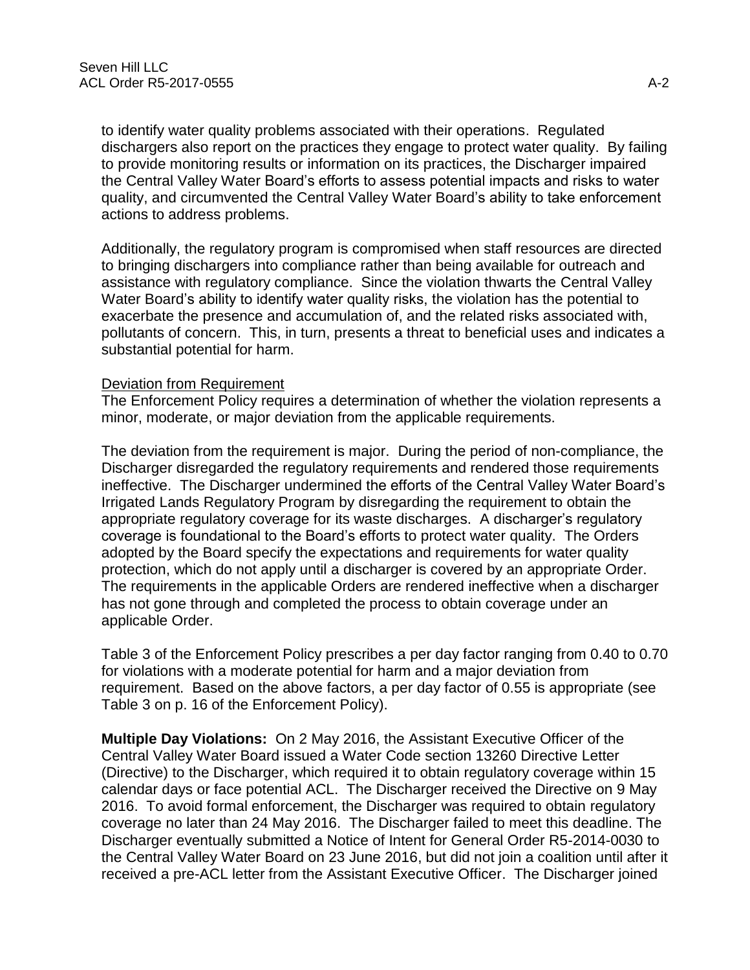to identify water quality problems associated with their operations. Regulated dischargers also report on the practices they engage to protect water quality. By failing to provide monitoring results or information on its practices, the Discharger impaired the Central Valley Water Board's efforts to assess potential impacts and risks to water quality, and circumvented the Central Valley Water Board's ability to take enforcement actions to address problems.

Additionally, the regulatory program is compromised when staff resources are directed to bringing dischargers into compliance rather than being available for outreach and assistance with regulatory compliance. Since the violation thwarts the Central Valley Water Board's ability to identify water quality risks, the violation has the potential to exacerbate the presence and accumulation of, and the related risks associated with, pollutants of concern. This, in turn, presents a threat to beneficial uses and indicates a substantial potential for harm.

### Deviation from Requirement

The Enforcement Policy requires a determination of whether the violation represents a minor, moderate, or major deviation from the applicable requirements.

The deviation from the requirement is major. During the period of non-compliance, the Discharger disregarded the regulatory requirements and rendered those requirements ineffective. The Discharger undermined the efforts of the Central Valley Water Board's Irrigated Lands Regulatory Program by disregarding the requirement to obtain the appropriate regulatory coverage for its waste discharges. A discharger's regulatory coverage is foundational to the Board's efforts to protect water quality. The Orders adopted by the Board specify the expectations and requirements for water quality protection, which do not apply until a discharger is covered by an appropriate Order. The requirements in the applicable Orders are rendered ineffective when a discharger has not gone through and completed the process to obtain coverage under an applicable Order.

Table 3 of the Enforcement Policy prescribes a per day factor ranging from 0.40 to 0.70 for violations with a moderate potential for harm and a major deviation from requirement. Based on the above factors, a per day factor of 0.55 is appropriate (see Table 3 on p. 16 of the Enforcement Policy).

**Multiple Day Violations:** On 2 May 2016, the Assistant Executive Officer of the Central Valley Water Board issued a Water Code section 13260 Directive Letter (Directive) to the Discharger, which required it to obtain regulatory coverage within 15 calendar days or face potential ACL. The Discharger received the Directive on 9 May 2016. To avoid formal enforcement, the Discharger was required to obtain regulatory coverage no later than 24 May 2016. The Discharger failed to meet this deadline. The Discharger eventually submitted a Notice of Intent for General Order R5-2014-0030 to the Central Valley Water Board on 23 June 2016, but did not join a coalition until after it received a pre-ACL letter from the Assistant Executive Officer. The Discharger joined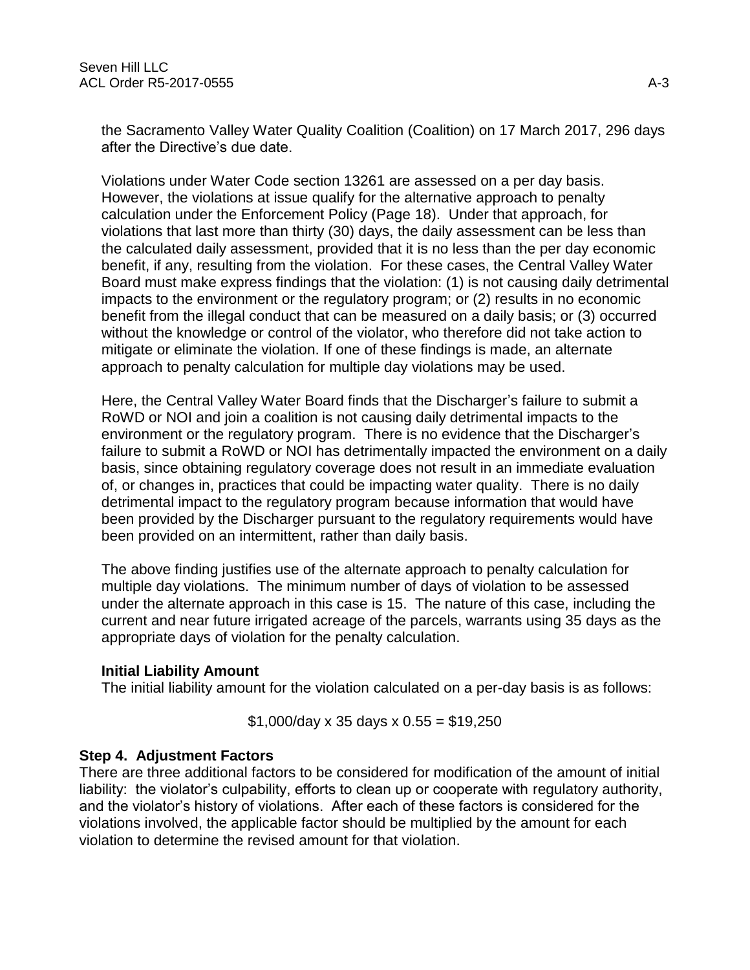the Sacramento Valley Water Quality Coalition (Coalition) on 17 March 2017, 296 days after the Directive's due date.

Violations under Water Code section 13261 are assessed on a per day basis. However, the violations at issue qualify for the alternative approach to penalty calculation under the Enforcement Policy (Page 18). Under that approach, for violations that last more than thirty (30) days, the daily assessment can be less than the calculated daily assessment, provided that it is no less than the per day economic benefit, if any, resulting from the violation. For these cases, the Central Valley Water Board must make express findings that the violation: (1) is not causing daily detrimental impacts to the environment or the regulatory program; or (2) results in no economic benefit from the illegal conduct that can be measured on a daily basis; or (3) occurred without the knowledge or control of the violator, who therefore did not take action to mitigate or eliminate the violation. If one of these findings is made, an alternate approach to penalty calculation for multiple day violations may be used.

Here, the Central Valley Water Board finds that the Discharger's failure to submit a RoWD or NOI and join a coalition is not causing daily detrimental impacts to the environment or the regulatory program. There is no evidence that the Discharger's failure to submit a RoWD or NOI has detrimentally impacted the environment on a daily basis, since obtaining regulatory coverage does not result in an immediate evaluation of, or changes in, practices that could be impacting water quality. There is no daily detrimental impact to the regulatory program because information that would have been provided by the Discharger pursuant to the regulatory requirements would have been provided on an intermittent, rather than daily basis.

The above finding justifies use of the alternate approach to penalty calculation for multiple day violations. The minimum number of days of violation to be assessed under the alternate approach in this case is 15. The nature of this case, including the current and near future irrigated acreage of the parcels, warrants using 35 days as the appropriate days of violation for the penalty calculation.

### **Initial Liability Amount**

The initial liability amount for the violation calculated on a per-day basis is as follows:

 $$1,000$ /day x 35 days x 0.55 = \$19,250

# **Step 4. Adjustment Factors**

There are three additional factors to be considered for modification of the amount of initial liability: the violator's culpability, efforts to clean up or cooperate with regulatory authority, and the violator's history of violations. After each of these factors is considered for the violations involved, the applicable factor should be multiplied by the amount for each violation to determine the revised amount for that violation.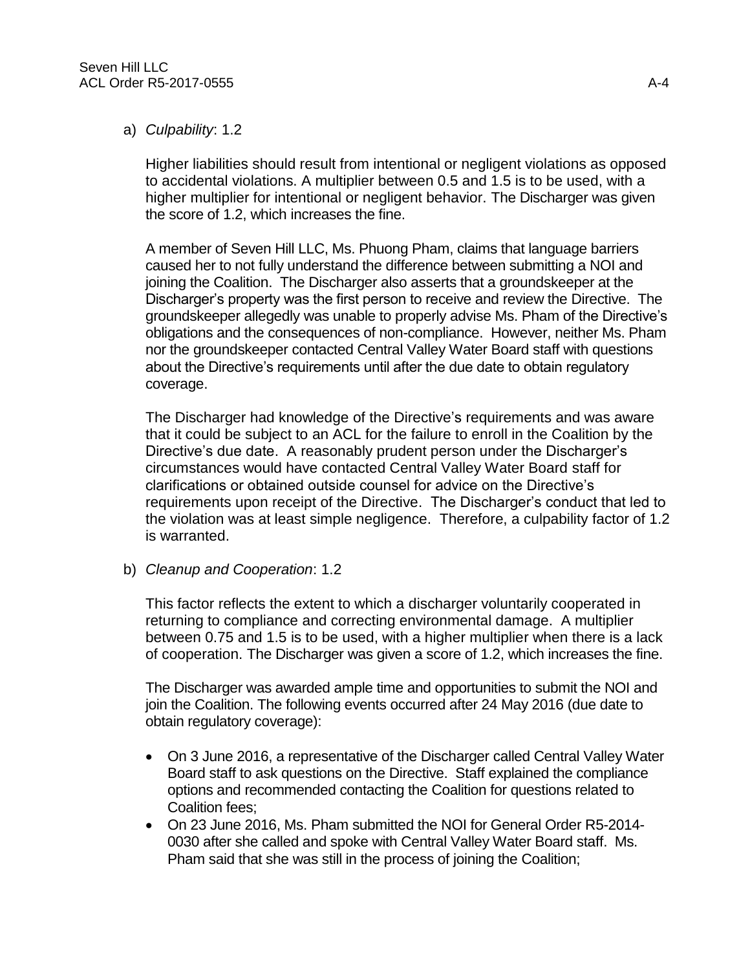### a) *Culpability*: 1.2

Higher liabilities should result from intentional or negligent violations as opposed to accidental violations. A multiplier between 0.5 and 1.5 is to be used, with a higher multiplier for intentional or negligent behavior. The Discharger was given the score of 1.2, which increases the fine.

A member of Seven Hill LLC, Ms. Phuong Pham, claims that language barriers caused her to not fully understand the difference between submitting a NOI and joining the Coalition. The Discharger also asserts that a groundskeeper at the Discharger's property was the first person to receive and review the Directive. The groundskeeper allegedly was unable to properly advise Ms. Pham of the Directive's obligations and the consequences of non-compliance. However, neither Ms. Pham nor the groundskeeper contacted Central Valley Water Board staff with questions about the Directive's requirements until after the due date to obtain regulatory coverage.

The Discharger had knowledge of the Directive's requirements and was aware that it could be subject to an ACL for the failure to enroll in the Coalition by the Directive's due date. A reasonably prudent person under the Discharger's circumstances would have contacted Central Valley Water Board staff for clarifications or obtained outside counsel for advice on the Directive's requirements upon receipt of the Directive. The Discharger's conduct that led to the violation was at least simple negligence. Therefore, a culpability factor of 1.2 is warranted.

b) *Cleanup and Cooperation*: 1.2

This factor reflects the extent to which a discharger voluntarily cooperated in returning to compliance and correcting environmental damage. A multiplier between 0.75 and 1.5 is to be used, with a higher multiplier when there is a lack of cooperation. The Discharger was given a score of 1.2, which increases the fine.

The Discharger was awarded ample time and opportunities to submit the NOI and join the Coalition. The following events occurred after 24 May 2016 (due date to obtain regulatory coverage):

- On 3 June 2016, a representative of the Discharger called Central Valley Water Board staff to ask questions on the Directive. Staff explained the compliance options and recommended contacting the Coalition for questions related to Coalition fees;
- On 23 June 2016, Ms. Pham submitted the NOI for General Order R5-2014- 0030 after she called and spoke with Central Valley Water Board staff. Ms. Pham said that she was still in the process of joining the Coalition;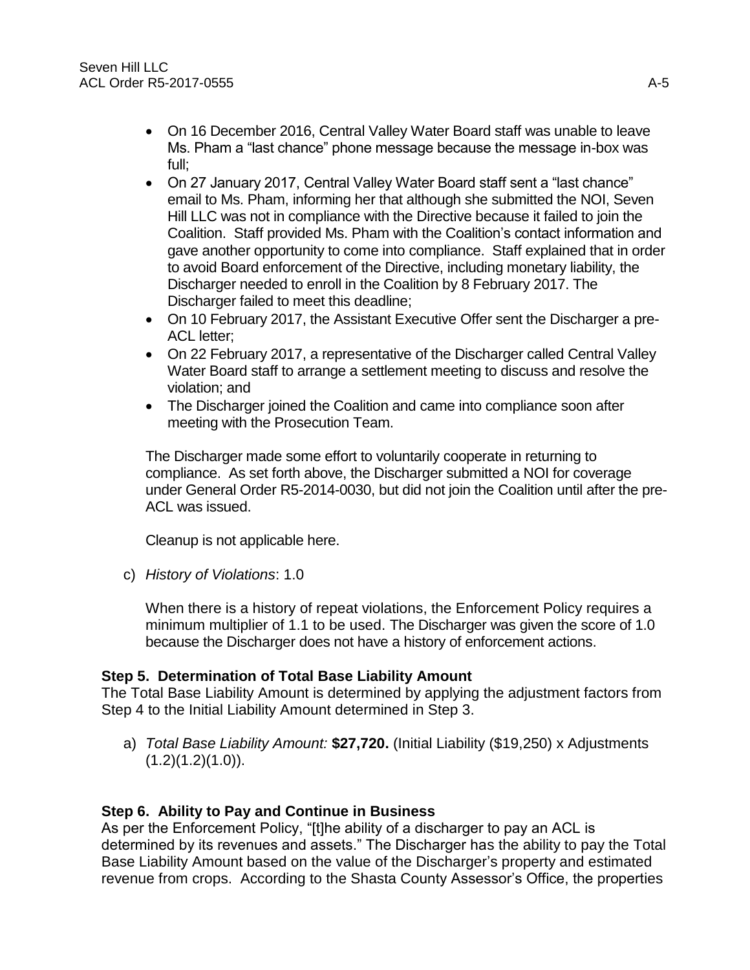- On 16 December 2016, Central Valley Water Board staff was unable to leave Ms. Pham a "last chance" phone message because the message in-box was full;
- On 27 January 2017, Central Valley Water Board staff sent a "last chance" email to Ms. Pham, informing her that although she submitted the NOI, Seven Hill LLC was not in compliance with the Directive because it failed to join the Coalition. Staff provided Ms. Pham with the Coalition's contact information and gave another opportunity to come into compliance. Staff explained that in order to avoid Board enforcement of the Directive, including monetary liability, the Discharger needed to enroll in the Coalition by 8 February 2017. The Discharger failed to meet this deadline;
- On 10 February 2017, the Assistant Executive Offer sent the Discharger a pre-ACL letter;
- On 22 February 2017, a representative of the Discharger called Central Valley Water Board staff to arrange a settlement meeting to discuss and resolve the violation; and
- The Discharger joined the Coalition and came into compliance soon after meeting with the Prosecution Team.

The Discharger made some effort to voluntarily cooperate in returning to compliance. As set forth above, the Discharger submitted a NOI for coverage under General Order R5-2014-0030, but did not join the Coalition until after the pre-ACL was issued.

Cleanup is not applicable here.

c) *History of Violations*: 1.0

When there is a history of repeat violations, the Enforcement Policy requires a minimum multiplier of 1.1 to be used. The Discharger was given the score of 1.0 because the Discharger does not have a history of enforcement actions.

# **Step 5. Determination of Total Base Liability Amount**

The Total Base Liability Amount is determined by applying the adjustment factors from Step 4 to the Initial Liability Amount determined in Step 3.

a) *Total Base Liability Amount:* **\$27,720.** (Initial Liability (\$19,250) x Adjustments  $(1.2)(1.2)(1.0)$ .

# **Step 6. Ability to Pay and Continue in Business**

As per the Enforcement Policy, "[t]he ability of a discharger to pay an ACL is determined by its revenues and assets." The Discharger has the ability to pay the Total Base Liability Amount based on the value of the Discharger's property and estimated revenue from crops. According to the Shasta County Assessor's Office, the properties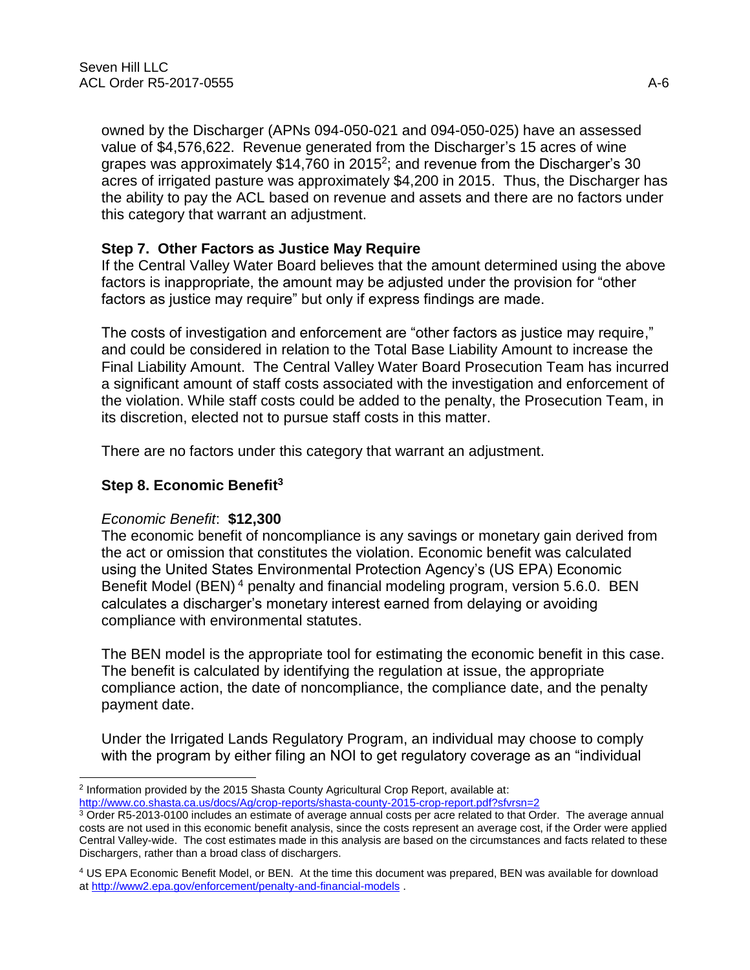owned by the Discharger (APNs 094-050-021 and 094-050-025) have an assessed value of \$4,576,622. Revenue generated from the Discharger's 15 acres of wine grapes was approximately \$14,760 in 2015<sup>2</sup>; and revenue from the Discharger's 30 acres of irrigated pasture was approximately \$4,200 in 2015. Thus, the Discharger has the ability to pay the ACL based on revenue and assets and there are no factors under this category that warrant an adjustment.

# **Step 7. Other Factors as Justice May Require**

If the Central Valley Water Board believes that the amount determined using the above factors is inappropriate, the amount may be adjusted under the provision for "other factors as justice may require" but only if express findings are made.

The costs of investigation and enforcement are "other factors as justice may require," and could be considered in relation to the Total Base Liability Amount to increase the Final Liability Amount. The Central Valley Water Board Prosecution Team has incurred a significant amount of staff costs associated with the investigation and enforcement of the violation. While staff costs could be added to the penalty, the Prosecution Team, in its discretion, elected not to pursue staff costs in this matter.

There are no factors under this category that warrant an adjustment.

### **Step 8. Economic Benefit<sup>3</sup>**

### *Economic Benefit*: **\$12,300**

The economic benefit of noncompliance is any savings or monetary gain derived from the act or omission that constitutes the violation. Economic benefit was calculated using the United States Environmental Protection Agency's (US EPA) Economic Benefit Model (BEN)<sup>4</sup> penalty and financial modeling program, version 5.6.0. BEN calculates a discharger's monetary interest earned from delaying or avoiding compliance with environmental statutes.

The BEN model is the appropriate tool for estimating the economic benefit in this case. The benefit is calculated by identifying the regulation at issue, the appropriate compliance action, the date of noncompliance, the compliance date, and the penalty payment date.

Under the Irrigated Lands Regulatory Program, an individual may choose to comply with the program by either filing an NOI to get regulatory coverage as an "individual

 $\overline{a}$ 2 Information provided by the 2015 Shasta County Agricultural Crop Report, available at:

http://www.co.shasta.ca.us/docs/Ag/crop-reports/shasta-county-2015-crop-report.pdf?sfvrsn=2

<sup>3</sup> Order R5-2013-0100 includes an estimate of average annual costs per acre related to that Order. The average annual costs are not used in this economic benefit analysis, since the costs represent an average cost, if the Order were applied Central Valley-wide. The cost estimates made in this analysis are based on the circumstances and facts related to these Dischargers, rather than a broad class of dischargers.

<sup>4</sup> US EPA Economic Benefit Model, or BEN. At the time this document was prepared, BEN was available for download at<http://www2.epa.gov/enforcement/penalty-and-financial-models> .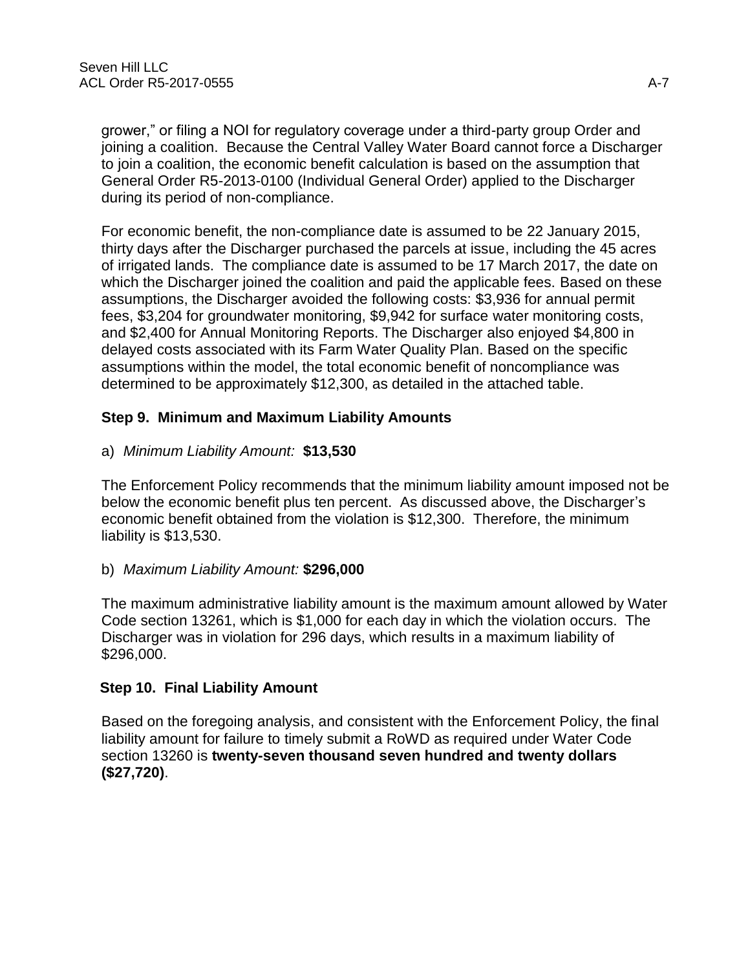grower," or filing a NOI for regulatory coverage under a third-party group Order and joining a coalition. Because the Central Valley Water Board cannot force a Discharger to join a coalition, the economic benefit calculation is based on the assumption that General Order R5-2013-0100 (Individual General Order) applied to the Discharger during its period of non-compliance.

For economic benefit, the non-compliance date is assumed to be 22 January 2015, thirty days after the Discharger purchased the parcels at issue, including the 45 acres of irrigated lands. The compliance date is assumed to be 17 March 2017, the date on which the Discharger joined the coalition and paid the applicable fees. Based on these assumptions, the Discharger avoided the following costs: \$3,936 for annual permit fees, \$3,204 for groundwater monitoring, \$9,942 for surface water monitoring costs, and \$2,400 for Annual Monitoring Reports. The Discharger also enjoyed \$4,800 in delayed costs associated with its Farm Water Quality Plan. Based on the specific assumptions within the model, the total economic benefit of noncompliance was determined to be approximately \$12,300, as detailed in the attached table.

# **Step 9. Minimum and Maximum Liability Amounts**

# a) *Minimum Liability Amount:* **\$13,530**

The Enforcement Policy recommends that the minimum liability amount imposed not be below the economic benefit plus ten percent. As discussed above, the Discharger's economic benefit obtained from the violation is \$12,300. Therefore, the minimum liability is \$13,530.

# b) *Maximum Liability Amount:* **\$296,000**

The maximum administrative liability amount is the maximum amount allowed by Water Code section 13261, which is \$1,000 for each day in which the violation occurs. The Discharger was in violation for 296 days, which results in a maximum liability of \$296,000.

# **Step 10. Final Liability Amount**

Based on the foregoing analysis, and consistent with the Enforcement Policy, the final liability amount for failure to timely submit a RoWD as required under Water Code section 13260 is **twenty-seven thousand seven hundred and twenty dollars (\$27,720)**.